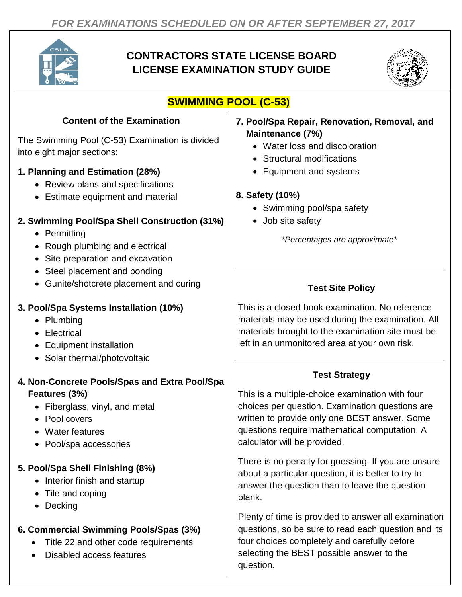

## **CONTRACTORS STATE LICENSE BOARD LICENSE EXAMINATION STUDY GUIDE**



# **SWIMMING POOL (C-53)**

## **Content of the Examination**

The Swimming Pool (C-53) Examination is divided into eight major sections:

#### **1. Planning and Estimation (28%)**

- Review plans and specifications
- Estimate equipment and material

### **2. Swimming Pool/Spa Shell Construction (31%)**

- Permitting
- Rough plumbing and electrical
- Site preparation and excavation
- Steel placement and bonding
- Gunite/shotcrete placement and curing

#### **3. Pool/Spa Systems Installation (10%)**

- Plumbing
- Electrical
- Equipment installation
- Solar thermal/photovoltaic

#### **4. Non-Concrete Pools/Spas and Extra Pool/Spa Features (3%)**

- Fiberglass, vinyl, and metal
- Pool covers
- Water features
- Pool/spa accessories

### **5. Pool/Spa Shell Finishing (8%)**

- Interior finish and startup
- Tile and coping
- Decking

### **6. Commercial Swimming Pools/Spas (3%)**

- Title 22 and other code requirements
- Disabled access features
- **7. Pool/Spa Repair, Renovation, Removal, and Maintenance (7%)**
	- Water loss and discoloration
	- Structural modifications
	- Equipment and systems

#### **8. Safety (10%)**

- Swimming pool/spa safety
- Job site safety

*\*Percentages are approximate\**

## **Test Site Policy**

This is a closed-book examination. No reference materials may be used during the examination. All materials brought to the examination site must be left in an unmonitored area at your own risk.

### **Test Strategy**

This is a multiple-choice examination with four choices per question. Examination questions are written to provide only one BEST answer. Some questions require mathematical computation. A calculator will be provided.

There is no penalty for guessing. If you are unsure about a particular question, it is better to try to answer the question than to leave the question blank.

Plenty of time is provided to answer all examination questions, so be sure to read each question and its four choices completely and carefully before selecting the BEST possible answer to the question.